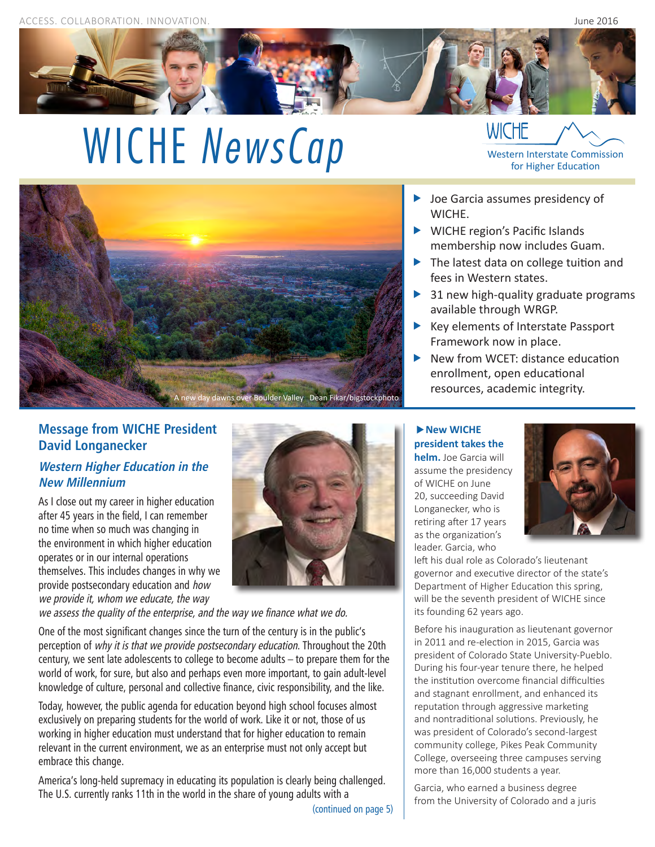

# WICHE *NewsCap* WICHE **MEXANUSCAP** WICHE **WICHE WICHE WISCO**



- ▶ Joe Garcia assumes presidency of WICHE.
- ▶ WICHE region's Pacific Islands membership now includes Guam.
- The latest data on college tuition and fees in Western states.
- $\triangleright$  31 new high-quality graduate programs available through WRGP.
- $\blacktriangleright$  Key elements of Interstate Passport Framework now in place.
- $\blacktriangleright$  New from WCET: distance education enrollment, open educational resources, academic integrity.

# **Message from WICHE President David Longanecker**

## **Western Higher Education in the New Millennium**

As I close out my career in higher education after 45 years in the field, I can remember no time when so much was changing in the environment in which higher education operates or in our internal operations themselves. This includes changes in why we provide postsecondary education and how we provide it, whom we educate, the way



we assess the quality of the enterprise, and the way we finance what we do.

One of the most significant changes since the turn of the century is in the public's perception of why it is that we provide postsecondary education. Throughout the 20th century, we sent late adolescents to college to become adults – to prepare them for the world of work, for sure, but also and perhaps even more important, to gain adult-level knowledge of culture, personal and collective finance, civic responsibility, and the like.

Today, however, the public agenda for education beyond high school focuses almost exclusively on preparing students for the world of work. Like it or not, those of us working in higher education must understand that for higher education to remain relevant in the current environment, we as an enterprise must not only accept but embrace this change.

America's long-held supremacy in educating its population is clearly being challenged. The U.S. currently ranks 11th in the world in the share of young adults with a

**New WICHE president takes the** 

**helm.** Joe Garcia will assume the presidency of WICHE on June 20, succeeding David Longanecker, who is retiring after 17 years as the organization's leader. Garcia, who



left his dual role as Colorado's lieutenant governor and executive director of the state's Department of Higher Education this spring, will be the seventh president of WICHE since its founding 62 years ago.

Before his inauguration as lieutenant governor in 2011 and re-election in 2015, Garcia was president of Colorado State University-Pueblo. During his four-year tenure there, he helped the institution overcome financial difficulties and stagnant enrollment, and enhanced its reputation through aggressive marketing and nontraditional solutions. Previously, he was president of Colorado's second-largest community college, Pikes Peak Community College, overseeing three campuses serving more than 16,000 students a year.

Garcia, who earned a business degree from the University of Colorado and a juris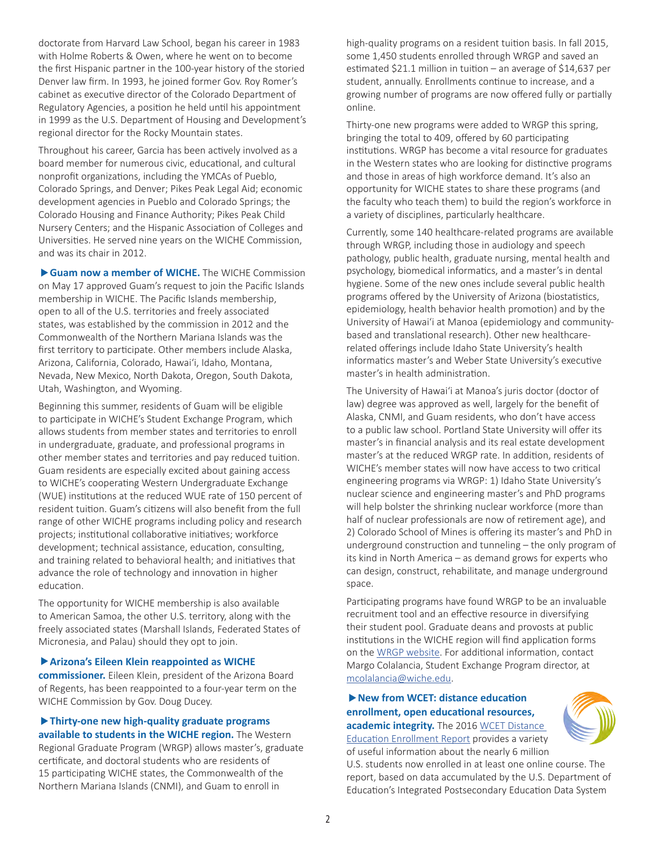doctorate from Harvard Law School, began his career in 1983 with Holme Roberts & Owen, where he went on to become the first Hispanic partner in the 100-year history of the storied Denver law firm. In 1993, he joined former Gov. Roy Romer's cabinet as executive director of the Colorado Department of Regulatory Agencies, a position he held until his appointment in 1999 as the U.S. Department of Housing and Development's regional director for the Rocky Mountain states.

Throughout his career, Garcia has been actively involved as a board member for numerous civic, educational, and cultural nonprofit organizations, including the YMCAs of Pueblo, Colorado Springs, and Denver; Pikes Peak Legal Aid; economic development agencies in Pueblo and Colorado Springs; the Colorado Housing and Finance Authority; Pikes Peak Child Nursery Centers; and the Hispanic Association of Colleges and Universities. He served nine years on the WICHE Commission, and was its chair in 2012.

**Guam now a member of WICHE.** The WICHE Commission on May 17 approved Guam's request to join the Pacific Islands membership in WICHE. The Pacific Islands membership, open to all of the U.S. territories and freely associated states, was established by the commission in 2012 and the Commonwealth of the Northern Mariana Islands was the first territory to participate. Other members include Alaska, Arizona, California, Colorado, Hawai'i, Idaho, Montana, Nevada, New Mexico, North Dakota, Oregon, South Dakota, Utah, Washington, and Wyoming.

Beginning this summer, residents of Guam will be eligible to participate in WICHE's Student Exchange Program, which allows students from member states and territories to enroll in undergraduate, graduate, and professional programs in other member states and territories and pay reduced tuition. Guam residents are especially excited about gaining access to WICHE's cooperating Western Undergraduate Exchange (WUE) institutions at the reduced WUE rate of 150 percent of resident tuition. Guam's citizens will also benefit from the full range of other WICHE programs including policy and research projects; institutional collaborative initiatives; workforce development; technical assistance, education, consulting, and training related to behavioral health; and initiatives that advance the role of technology and innovation in higher education.

The opportunity for WICHE membership is also available to American Samoa, the other U.S. territory, along with the freely associated states (Marshall Islands, Federated States of Micronesia, and Palau) should they opt to join.

#### **Arizona's Eileen Klein reappointed as WICHE**

**commissioner.** Eileen Klein, president of the Arizona Board of Regents, has been reappointed to a four-year term on the WICHE Commission by Gov. Doug Ducey.

#### **Thirty-one new high-quality graduate programs available to students in the WICHE region.** The Western

Regional Graduate Program (WRGP) allows master's, graduate certificate, and doctoral students who are residents of 15 participating WICHE states, the Commonwealth of the Northern Mariana Islands (CNMI), and Guam to enroll in

high-quality programs on a resident tuition basis. In fall 2015, some 1,450 students enrolled through WRGP and saved an estimated \$21.1 million in tuition – an average of \$14,637 per student, annually. Enrollments continue to increase, and a growing number of programs are now offered fully or partially online.

Thirty-one new programs were added to WRGP this spring, bringing the total to 409, offered by 60 participating institutions. WRGP has become a vital resource for graduates in the Western states who are looking for distinctive programs and those in areas of high workforce demand. It's also an opportunity for WICHE states to share these programs (and the faculty who teach them) to build the region's workforce in a variety of disciplines, particularly healthcare.

Currently, some 140 healthcare-related programs are available through WRGP, including those in audiology and speech pathology, public health, graduate nursing, mental health and psychology, biomedical informatics, and a master's in dental hygiene. Some of the new ones include several public health programs offered by the University of Arizona (biostatistics, epidemiology, health behavior health promotion) and by the University of Hawai'i at Manoa (epidemiology and communitybased and translational research). Other new healthcarerelated offerings include Idaho State University's health informatics master's and Weber State University's executive master's in health administration.

The University of Hawai'i at Manoa's juris doctor (doctor of law) degree was approved as well, largely for the benefit of Alaska, CNMI, and Guam residents, who don't have access to a public law school. Portland State University will offer its master's in financial analysis and its real estate development master's at the reduced WRGP rate. In addition, residents of WICHE's member states will now have access to two critical engineering programs via WRGP: 1) Idaho State University's nuclear science and engineering master's and PhD programs will help bolster the shrinking nuclear workforce (more than half of nuclear professionals are now of retirement age), and 2) Colorado School of Mines is offering its master's and PhD in underground construction and tunneling – the only program of its kind in North America – as demand grows for experts who can design, construct, rehabilitate, and manage underground space.

Participating programs have found WRGP to be an invaluable recruitment tool and an effective resource in diversifying their student pool. Graduate deans and provosts at public institutions in the WICHE region will find application forms on the [WRGP website](http://wiche.edu/wrgp). For additional information, contact Margo Colalancia, Student Exchange Program director, at [mcolalancia@wiche.edu.](http://mcolalancia@wiche.edu)

**New from WCET: distance education enrollment, open educational resources, academic integrity.** The 2016 [WCET Distance](http://wcet.wiche.edu/initiatives/research/WCET-Distance-Education-Enrollment-Report-2016)  [Education Enrollment Report](http://wcet.wiche.edu/initiatives/research/WCET-Distance-Education-Enrollment-Report-2016) provides a variety

of useful information about the nearly 6 million

U.S. students now enrolled in at least one online course. The report, based on data accumulated by the U.S. Department of Education's Integrated Postsecondary Education Data System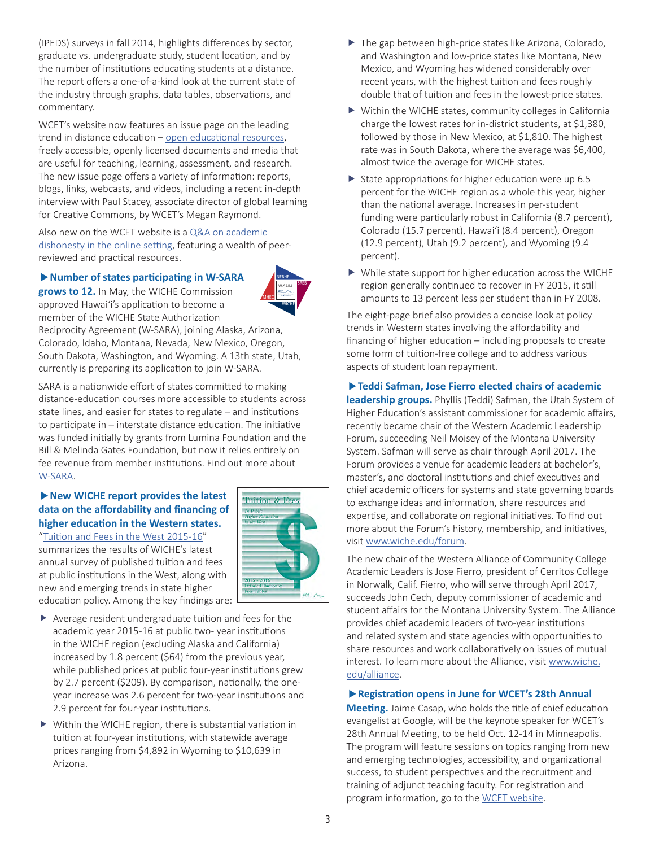(IPEDS) surveys in fall 2014, highlights differences by sector, graduate vs. undergraduate study, student location, and by the number of institutions educating students at a distance. The report offers a one-of-a-kind look at the current state of the industry through graphs, data tables, observations, and commentary.

WCET's website now features an issue page on the leading trend in distance education – [open educational resources](http://wcet.wiche.edu/focus-areas/managing-elearning/OER), freely accessible, openly licensed documents and media that are useful for teaching, learning, assessment, and research. The new issue page offers a variety of information: reports, blogs, links, webcasts, and videos, including a recent in-depth interview with Paul Stacey, associate director of global learning for Creative Commons, by WCET's Megan Raymond.

Also new on the WCET website is a Q&A on academic [dishonesty in the online setting](http://wcet.wiche.edu/sites/default/files/Online-Learning-Academic-Dishonest-QA.pdf), featuring a wealth of peerreviewed and practical resources.

#### **Number of states participating in W-SARA**



**grows to 12.** In May, the WICHE Commission approved Hawai'i's application to become a member of the WICHE State Authorization

Reciprocity Agreement (W-SARA), joining Alaska, Arizona, Colorado, Idaho, Montana, Nevada, New Mexico, Oregon, South Dakota, Washington, and Wyoming. A 13th state, Utah, currently is preparing its application to join W-SARA.

SARA is a nationwide effort of states committed to making distance-education courses more accessible to students across state lines, and easier for states to regulate – and institutions to participate in – interstate distance education. The initiative was funded initially by grants from Lumina Foundation and the Bill & Melinda Gates Foundation, but now it relies entirely on fee revenue from member institutions. Find out more about [W-SARA](http://wiche.edu/sara).

#### **New WICHE report provides the latest data on the affordability and financing of higher education in the Western states.**

"[Tuition and Fees in the West 2015-16](http://wiche.edu/pub/tf)" summarizes the results of WICHE's latest annual survey of published tuition and fees at public institutions in the West, along with new and emerging trends in state higher education policy. Among the key findings are:



- $\blacktriangleright$  Average resident undergraduate tuition and fees for the academic year 2015-16 at public two- year institutions in the WICHE region (excluding Alaska and California) increased by 1.8 percent (\$64) from the previous year, while published prices at public four-year institutions grew by 2.7 percent (\$209). By comparison, nationally, the oneyear increase was 2.6 percent for two-year institutions and 2.9 percent for four-year institutions.
- $\triangleright$  Within the WICHE region, there is substantial variation in tuition at four-year institutions, with statewide average prices ranging from \$4,892 in Wyoming to \$10,639 in Arizona.
- $\blacktriangleright$  The gap between high-price states like Arizona, Colorado, and Washington and low-price states like Montana, New Mexico, and Wyoming has widened considerably over recent years, with the highest tuition and fees roughly double that of tuition and fees in the lowest-price states.
- $\blacktriangleright$  Within the WICHE states, community colleges in California charge the lowest rates for in-district students, at \$1,380, followed by those in New Mexico, at \$1,810. The highest rate was in South Dakota, where the average was \$6,400, almost twice the average for WICHE states.
- State appropriations for higher education were up  $6.5$ percent for the WICHE region as a whole this year, higher than the national average. Increases in per-student funding were particularly robust in California (8.7 percent), Colorado (15.7 percent), Hawai'i (8.4 percent), Oregon (12.9 percent), Utah (9.2 percent), and Wyoming (9.4 percent).
- $\triangleright$  While state support for higher education across the WICHE region generally continued to recover in FY 2015, it still amounts to 13 percent less per student than in FY 2008.

The eight-page brief also provides a concise look at policy trends in Western states involving the affordability and financing of higher education – including proposals to create some form of tuition-free college and to address various aspects of student loan repayment.

#### **Teddi Safman, Jose Fierro elected chairs of academic**

**leadership groups.** Phyllis (Teddi) Safman, the Utah System of Higher Education's assistant commissioner for academic affairs, recently became chair of the Western Academic Leadership Forum, succeeding Neil Moisey of the Montana University System. Safman will serve as chair through April 2017. The Forum provides a venue for academic leaders at bachelor's, master's, and doctoral institutions and chief executives and chief academic officers for systems and state governing boards to exchange ideas and information, share resources and expertise, and collaborate on regional initiatives. To find out more about the Forum's history, membership, and initiatives, visit [www.wiche.edu/forum](http://www.wiche.edu/forum).

The new chair of the Western Alliance of Community College Academic Leaders is Jose Fierro, president of Cerritos College in Norwalk, Calif. Fierro, who will serve through April 2017, succeeds John Cech, deputy commissioner of academic and student affairs for the Montana University System. The Alliance provides chief academic leaders of two-year institutions and related system and state agencies with opportunities to share resources and work collaboratively on issues of mutual interest. To learn more about the Alliance, visit [www.wiche.](http://www.wiche.edu/alliance) [edu/alliance](http://www.wiche.edu/alliance).

#### **Registration opens in June for WCET's 28th Annual**

**Meeting.** Jaime Casap, who holds the title of chief education evangelist at Google, will be the keynote speaker for WCET's 28th Annual Meeting, to be held Oct. 12-14 in Minneapolis. The program will feature sessions on topics ranging from new and emerging technologies, accessibility, and organizational success, to student perspectives and the recruitment and training of adjunct teaching faculty. For registration and program information, go to the [WCET website.](https://www.eiseverywhere.com/ehome/index.php?eventid=161705&)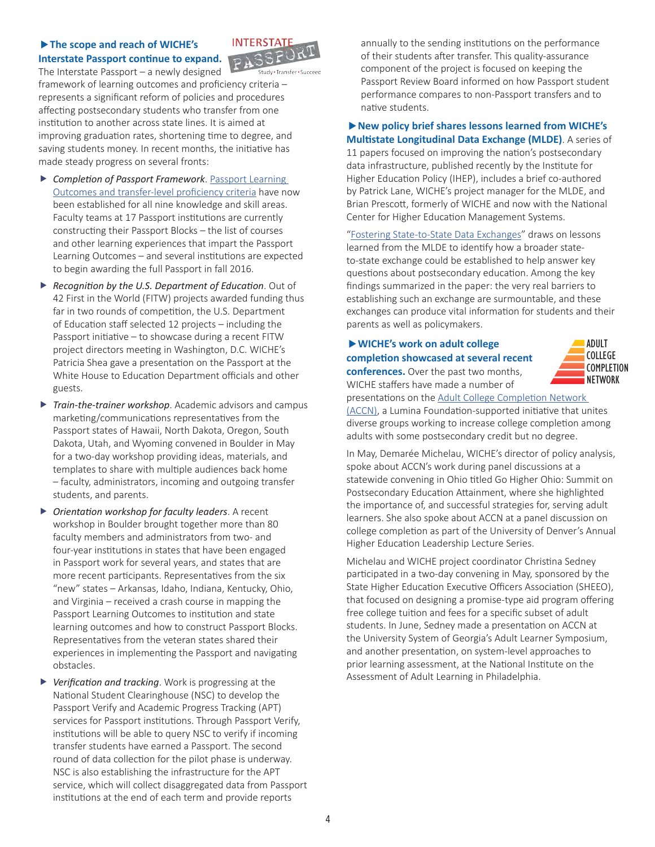### **The scope and reach of WICHE's Interstate Passport continue to expand.**



The Interstate Passport – a newly designed framework of learning outcomes and proficiency criteria – represents a significant reform of policies and procedures affecting postsecondary students who transfer from one institution to another across state lines. It is aimed at improving graduation rates, shortening time to degree, and saving students money. In recent months, the initiative has made steady progress on several fronts:

- **F** Completion of Passport Framework. Passport Learning [Outcomes and transfer-level proficiency criteria](http://wiche.edu/passport/passport-framework) have now been established for all nine knowledge and skill areas. Faculty teams at 17 Passport institutions are currently constructing their Passport Blocks – the list of courses and other learning experiences that impart the Passport Learning Outcomes – and several institutions are expected to begin awarding the full Passport in fall 2016.
- **F** *Recognition by the U.S. Department of Education.* Out of 42 First in the World (FITW) projects awarded funding thus far in two rounds of competition, the U.S. Department of Education staff selected 12 projects – including the Passport initiative – to showcase during a recent FITW project directors meeting in Washington, D.C. WICHE's Patricia Shea gave a presentation on the Passport at the White House to Education Department officials and other guests.
- **Figure 7** *Train-the-trainer workshop.* Academic advisors and campus marketing/communications representatives from the Passport states of Hawaii, North Dakota, Oregon, South Dakota, Utah, and Wyoming convened in Boulder in May for a two-day workshop providing ideas, materials, and templates to share with multiple audiences back home – faculty, administrators, incoming and outgoing transfer students, and parents.
- **F** Orientation workshop for faculty leaders. A recent workshop in Boulder brought together more than 80 faculty members and administrators from two- and four-year institutions in states that have been engaged in Passport work for several years, and states that are more recent participants. Representatives from the six "new" states – Arkansas, Idaho, Indiana, Kentucky, Ohio, and Virginia – received a crash course in mapping the Passport Learning Outcomes to institution and state learning outcomes and how to construct Passport Blocks. Representatives from the veteran states shared their experiences in implementing the Passport and navigating obstacles.
- **F** Verification and tracking. Work is progressing at the National Student Clearinghouse (NSC) to develop the Passport Verify and Academic Progress Tracking (APT) services for Passport institutions. Through Passport Verify, institutions will be able to query NSC to verify if incoming transfer students have earned a Passport. The second round of data collection for the pilot phase is underway. NSC is also establishing the infrastructure for the APT service, which will collect disaggregated data from Passport institutions at the end of each term and provide reports

annually to the sending institutions on the performance of their students after transfer. This quality-assurance component of the project is focused on keeping the Passport Review Board informed on how Passport student performance compares to non-Passport transfers and to native students.

# **New policy brief shares lessons learned from WICHE's**

**Multistate Longitudinal Data Exchange (MLDE)**. A series of 11 papers focused on improving the nation's postsecondary data infrastructure, published recently by the Institute for Higher Education Policy (IHEP), includes a brief co-authored by Patrick Lane, WICHE's project manager for the MLDE, and Brian Prescott, formerly of WICHE and now with the National Center for Higher Education Management Systems.

"[Fostering State-to-State Data Exchanges](http://www.ihep.org/postsecdata/mapping-data-landscape/national-postsecondary-data-infrastrcture)" draws on lessons learned from the MLDE to identify how a broader stateto-state exchange could be established to help answer key questions about postsecondary education. Among the key findings summarized in the paper: the very real barriers to establishing such an exchange are surmountable, and these exchanges can produce vital information for students and their parents as well as policymakers.

#### **WICHE's work on adult college completion showcased at several recent conferences.** Over the past two months,





presentations on the [Adult College Completion Network](http://www.adultcollegecompletion.org/)  [\(ACCN\)](http://www.adultcollegecompletion.org/), a Lumina Foundation-supported initiative that unites diverse groups working to increase college completion among adults with some postsecondary credit but no degree.

In May, Demarée Michelau, WICHE's director of policy analysis, spoke about ACCN's work during panel discussions at a statewide convening in Ohio titled Go Higher Ohio: Summit on Postsecondary Education Attainment, where she highlighted the importance of, and successful strategies for, serving adult learners. She also spoke about ACCN at a panel discussion on college completion as part of the University of Denver's Annual Higher Education Leadership Lecture Series.

Michelau and WICHE project coordinator Christina Sedney participated in a two-day convening in May, sponsored by the State Higher Education Executive Officers Association (SHEEO), that focused on designing a promise-type aid program offering free college tuition and fees for a specific subset of adult students. In June, Sedney made a presentation on ACCN at the University System of Georgia's Adult Learner Symposium, and another presentation, on system-level approaches to prior learning assessment, at the National Institute on the Assessment of Adult Learning in Philadelphia.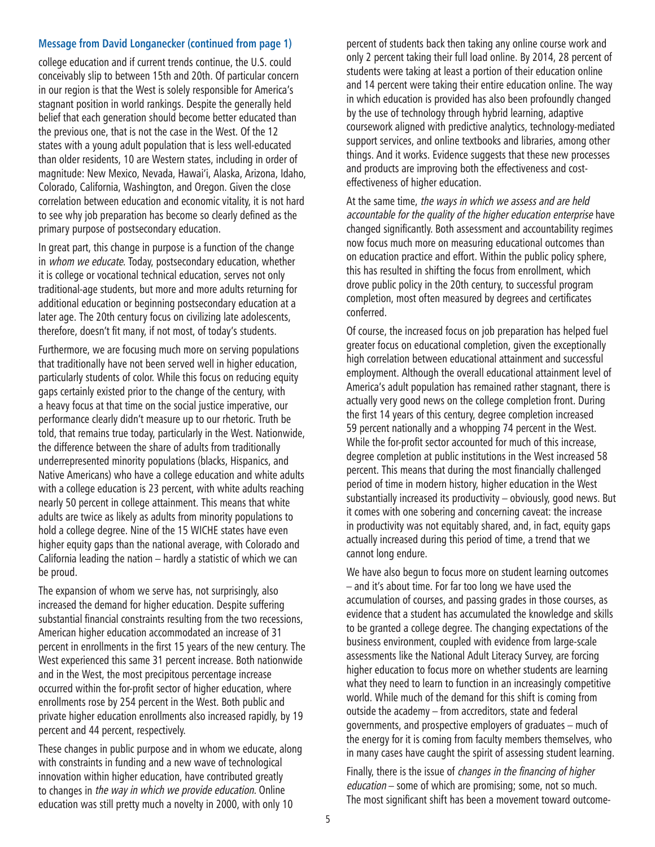#### **Message from David Longanecker (continued from page 1)**

college education and if current trends continue, the U.S. could conceivably slip to between 15th and 20th. Of particular concern in our region is that the West is solely responsible for America's stagnant position in world rankings. Despite the generally held belief that each generation should become better educated than the previous one, that is not the case in the West. Of the 12 states with a young adult population that is less well-educated than older residents, 10 are Western states, including in order of magnitude: New Mexico, Nevada, Hawai'i, Alaska, Arizona, Idaho, Colorado, California, Washington, and Oregon. Given the close correlation between education and economic vitality, it is not hard to see why job preparation has become so clearly defined as the primary purpose of postsecondary education.

In great part, this change in purpose is a function of the change in whom we educate. Today, postsecondary education, whether it is college or vocational technical education, serves not only traditional-age students, but more and more adults returning for additional education or beginning postsecondary education at a later age. The 20th century focus on civilizing late adolescents, therefore, doesn't fit many, if not most, of today's students.

Furthermore, we are focusing much more on serving populations that traditionally have not been served well in higher education, particularly students of color. While this focus on reducing equity gaps certainly existed prior to the change of the century, with a heavy focus at that time on the social justice imperative, our performance clearly didn't measure up to our rhetoric. Truth be told, that remains true today, particularly in the West. Nationwide, the difference between the share of adults from traditionally underrepresented minority populations (blacks, Hispanics, and Native Americans) who have a college education and white adults with a college education is 23 percent, with white adults reaching nearly 50 percent in college attainment. This means that white adults are twice as likely as adults from minority populations to hold a college degree. Nine of the 15 WICHE states have even higher equity gaps than the national average, with Colorado and California leading the nation – hardly a statistic of which we can be proud.

The expansion of whom we serve has, not surprisingly, also increased the demand for higher education. Despite suffering substantial financial constraints resulting from the two recessions, American higher education accommodated an increase of 31 percent in enrollments in the first 15 years of the new century. The West experienced this same 31 percent increase. Both nationwide and in the West, the most precipitous percentage increase occurred within the for-profit sector of higher education, where enrollments rose by 254 percent in the West. Both public and private higher education enrollments also increased rapidly, by 19 percent and 44 percent, respectively.

These changes in public purpose and in whom we educate, along with constraints in funding and a new wave of technological innovation within higher education, have contributed greatly to changes in the way in which we provide education. Online education was still pretty much a novelty in 2000, with only 10

percent of students back then taking any online course work and only 2 percent taking their full load online. By 2014, 28 percent of students were taking at least a portion of their education online and 14 percent were taking their entire education online. The way in which education is provided has also been profoundly changed by the use of technology through hybrid learning, adaptive coursework aligned with predictive analytics, technology-mediated support services, and online textbooks and libraries, among other things. And it works. Evidence suggests that these new processes and products are improving both the effectiveness and costeffectiveness of higher education.

At the same time, the ways in which we assess and are held accountable for the quality of the higher education enterprise have changed significantly. Both assessment and accountability regimes now focus much more on measuring educational outcomes than on education practice and effort. Within the public policy sphere, this has resulted in shifting the focus from enrollment, which drove public policy in the 20th century, to successful program completion, most often measured by degrees and certificates conferred.

Of course, the increased focus on job preparation has helped fuel greater focus on educational completion, given the exceptionally high correlation between educational attainment and successful employment. Although the overall educational attainment level of America's adult population has remained rather stagnant, there is actually very good news on the college completion front. During the first 14 years of this century, degree completion increased 59 percent nationally and a whopping 74 percent in the West. While the for-profit sector accounted for much of this increase, degree completion at public institutions in the West increased 58 percent. This means that during the most financially challenged period of time in modern history, higher education in the West substantially increased its productivity – obviously, good news. But it comes with one sobering and concerning caveat: the increase in productivity was not equitably shared, and, in fact, equity gaps actually increased during this period of time, a trend that we cannot long endure.

We have also begun to focus more on student learning outcomes – and it's about time. For far too long we have used the accumulation of courses, and passing grades in those courses, as evidence that a student has accumulated the knowledge and skills to be granted a college degree. The changing expectations of the business environment, coupled with evidence from large-scale assessments like the National Adult Literacy Survey, are forcing higher education to focus more on whether students are learning what they need to learn to function in an increasingly competitive world. While much of the demand for this shift is coming from outside the academy – from accreditors, state and federal governments, and prospective employers of graduates – much of the energy for it is coming from faculty members themselves, who in many cases have caught the spirit of assessing student learning.

Finally, there is the issue of changes in the financing of higher education – some of which are promising; some, not so much. The most significant shift has been a movement toward outcome-